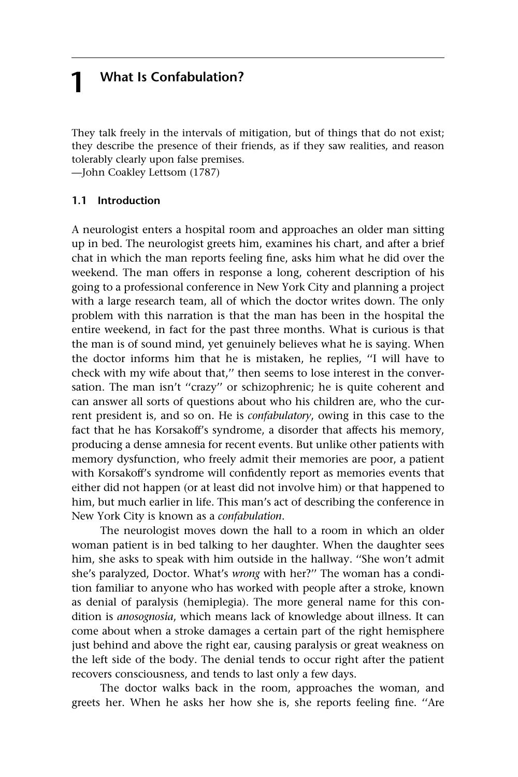# What Is Confabulation?

They talk freely in the intervals of mitigation, but of things that do not exist; they describe the presence of their friends, as if they saw realities, and reason tolerably clearly upon false premises.

—John Coakley Lettsom (1787)

# 1.1 Introduction

A neurologist enters a hospital room and approaches an older man sitting up in bed. The neurologist greets him, examines his chart, and after a brief chat in which the man reports feeling fine, asks him what he did over the weekend. The man offers in response a long, coherent description of his going to a professional conference in New York City and planning a project with a large research team, all of which the doctor writes down. The only problem with this narration is that the man has been in the hospital the entire weekend, in fact for the past three months. What is curious is that the man is of sound mind, yet genuinely believes what he is saying. When the doctor informs him that he is mistaken, he replies, ''I will have to check with my wife about that,'' then seems to lose interest in the conversation. The man isn't ''crazy'' or schizophrenic; he is quite coherent and can answer all sorts of questions about who his children are, who the current president is, and so on. He is confabulatory, owing in this case to the fact that he has Korsakoff's syndrome, a disorder that affects his memory, producing a dense amnesia for recent events. But unlike other patients with memory dysfunction, who freely admit their memories are poor, a patient with Korsakoff's syndrome will confidently report as memories events that either did not happen (or at least did not involve him) or that happened to him, but much earlier in life. This man's act of describing the conference in New York City is known as a confabulation.

The neurologist moves down the hall to a room in which an older woman patient is in bed talking to her daughter. When the daughter sees him, she asks to speak with him outside in the hallway. ''She won't admit she's paralyzed, Doctor. What's wrong with her?'' The woman has a condi[tion familiar to anyone who has worked with people after a stroke, known](#page--1-0) as denial of paralysis (hemiplegia). The more general name for this condition is anosognosia, which means lack of knowledge about illness. It can come about when a stroke damages a certain part of the right hemisphere just behind and above the right ear, causing paralysis or great weakness on the left side of the body. The denial tends to occur right after the patient recovers consciousness, and tends to last only a few days.

The doctor walks back in the room, approaches the woman, and greets her. When he asks her how she is, she reports feeling fine. ''Are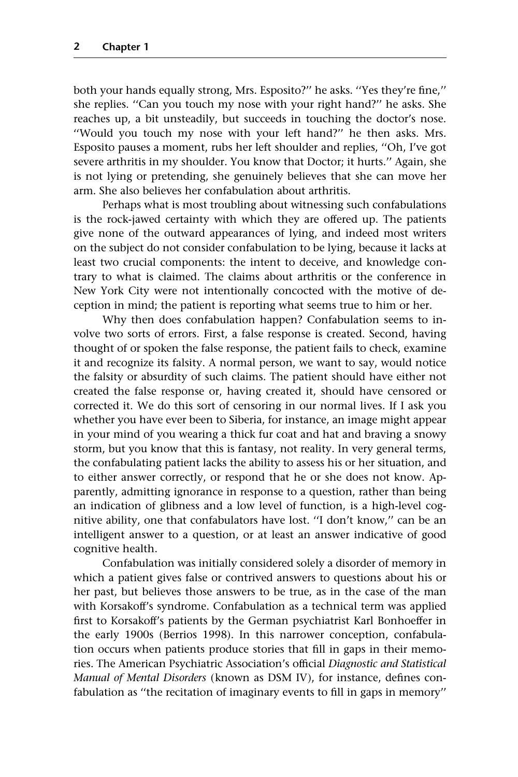both your hands equally strong, Mrs. Esposito?'' he asks. ''Yes they're fine,'' she replies. ''Can you touch my nose with your right hand?'' he asks. She reaches up, a bit unsteadily, but succeeds in touching the doctor's nose. ''Would you touch my nose with your left hand?'' he then asks. Mrs. Esposito pauses a moment, rubs her left shoulder and replies, ''Oh, I've got severe arthritis in my shoulder. You know that Doctor; it hurts.'' Again, she is not lying or pretending, she genuinely believes that she can move her arm. She also believes her confabulation about arthritis.

Perhaps what is most troubling about witnessing such confabulations is the rock-jawed certainty with which they are offered up. The patients give none of the outward appearances of lying, and indeed most writers on the subject do not consider confabulation to be lying, because it lacks at least two crucial components: the intent to deceive, and knowledge contrary to what is claimed. The claims about arthritis or the conference in New York City were not intentionally concocted with the motive of deception in mind; the patient is reporting what seems true to him or her.

Why then does confabulation happen? Confabulation seems to involve two sorts of errors. First, a false response is created. Second, having thought of or spoken the false response, the patient fails to check, examine it and recognize its falsity. A normal person, we want to say, would notice the falsity or absurdity of such claims. The patient should have either not created the false response or, having created it, should have censored or corrected it. We do this sort of censoring in our normal lives. If I ask you whether you have ever been to Siberia, for instance, an image might appear in your mind of you wearing a thick fur coat and hat and braving a snowy storm, but you know that this is fantasy, not reality. In very general terms, the confabulating patient lacks the ability to assess his or her situation, and to either answer correctly, or respond that he or she does not know. Apparently, admitting ignorance in response to a question, rather than being an indication of glibness and a low level of function, is a high-level cognitive ability, one that confabulators have lost. ''I don't know,'' can be an intelligent answer to a question, or at least an answer indicative of good cognitive health.

Confabulation was initially considered solely a disorder of memory in which a patient gives false or contrived answers to questions about his or her past, but believes those answers to be true, as in the case of the man with Korsakoff's syndrome. Confabulation as a technical term was applied first to Korsakoff's patients by the German psychiatrist Karl Bonhoeffer in the early 1900s (Berrios 1998). In this narrower conception, confabulation occurs when patients produce stories that fill in gaps in their memories. The American Psychiatric Association's official Diagnostic and Statistical Manual of Mental Disorders (known as DSM IV), for instance, defines confabulation as ''the recitation of imaginary events to fill in gaps in memory''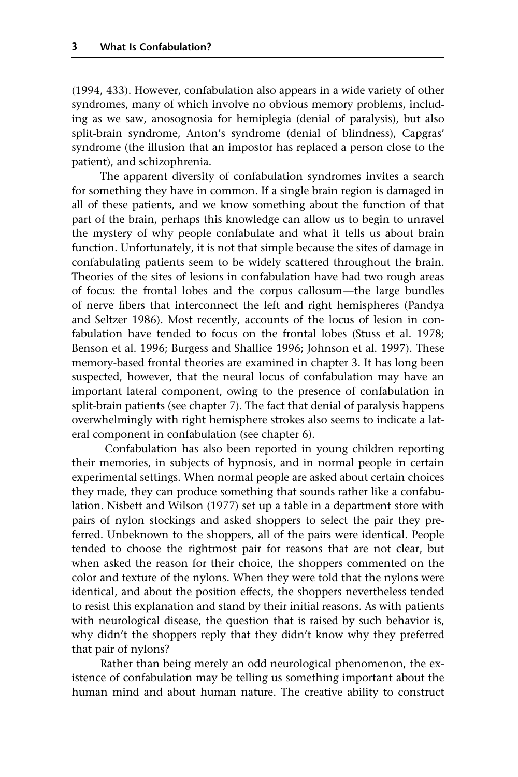(1994, 433). However, confabulation also appears in a wide variety of other syndromes, many of which involve no obvious memory problems, including as we saw, anosognosia for hemiplegia (denial of paralysis), but also split-brain syndrome, Anton's syndrome (denial of blindness), Capgras' syndrome (the illusion that an impostor has replaced a person close to the patient), and schizophrenia.

The apparent diversity of confabulation syndromes invites a search for something they have in common. If a single brain region is damaged in all of these patients, and we know something about the function of that part of the brain, perhaps this knowledge can allow us to begin to unravel the mystery of why people confabulate and what it tells us about brain function. Unfortunately, it is not that simple because the sites of damage in confabulating patients seem to be widely scattered throughout the brain. Theories of the sites of lesions in confabulation have had two rough areas of focus: the frontal lobes and the corpus callosum—the large bundles of nerve fibers that interconnect the left and right hemispheres (Pandya and Seltzer 1986). Most recently, accounts of the locus of lesion in confabulation have tended to focus on the frontal lobes (Stuss et al. 1978; Benson et al. 1996; Burgess and Shallice 1996; Johnson et al. 1997). These memory-based frontal theories are examined in chapter 3. It has long been suspected, however, that the neural locus of confabulation may have an important lateral component, owing to the presence of confabulation in split-brain patients (see chapter 7). The fact that denial of paralysis happens overwhelmingly with right hemisphere strokes also seems to indicate a lateral component in confabulation (see chapter 6).

Confabulation has also been reported in young children reporting their memories, in subjects of hypnosis, and in normal people in certain experimental settings. When normal people are asked about certain choices they made, they can produce something that sounds rather like a confabulation. Nisbett and Wilson (1977) set up a table in a department store with pairs of nylon stockings and asked shoppers to select the pair they preferred. Unbeknown to the shoppers, all of the pairs were identical. People tended to choose the rightmost pair for reasons that are not clear, but when asked the reason for their choice, the shoppers commented on the color and texture of the nylons. When they were told that the nylons were identical, and about the position effects, the shoppers nevertheless tended to resist this explanation and stand by their initial reasons. As with patients with neurological disease, the question that is raised by such behavior is, why didn't the shoppers reply that they didn't know why they preferred that pair of nylons?

Rather than being merely an odd neurological phenomenon, the existence of confabulation may be telling us something important about the human mind and about human nature. The creative ability to construct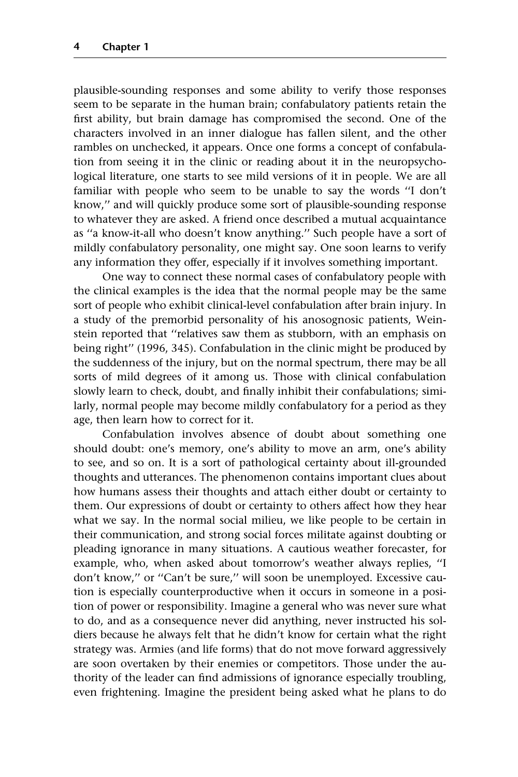plausible-sounding responses and some ability to verify those responses seem to be separate in the human brain; confabulatory patients retain the first ability, but brain damage has compromised the second. One of the characters involved in an inner dialogue has fallen silent, and the other rambles on unchecked, it appears. Once one forms a concept of confabulation from seeing it in the clinic or reading about it in the neuropsychological literature, one starts to see mild versions of it in people. We are all familiar with people who seem to be unable to say the words ''I don't know,'' and will quickly produce some sort of plausible-sounding response to whatever they are asked. A friend once described a mutual acquaintance as ''a know-it-all who doesn't know anything.'' Such people have a sort of mildly confabulatory personality, one might say. One soon learns to verify any information they offer, especially if it involves something important.

One way to connect these normal cases of confabulatory people with the clinical examples is the idea that the normal people may be the same sort of people who exhibit clinical-level confabulation after brain injury. In a study of the premorbid personality of his anosognosic patients, Weinstein reported that ''relatives saw them as stubborn, with an emphasis on being right'' (1996, 345). Confabulation in the clinic might be produced by the suddenness of the injury, but on the normal spectrum, there may be all sorts of mild degrees of it among us. Those with clinical confabulation slowly learn to check, doubt, and finally inhibit their confabulations; similarly, normal people may become mildly confabulatory for a period as they age, then learn how to correct for it.

Confabulation involves absence of doubt about something one should doubt: one's memory, one's ability to move an arm, one's ability to see, and so on. It is a sort of pathological certainty about ill-grounded thoughts and utterances. The phenomenon contains important clues about how humans assess their thoughts and attach either doubt or certainty to them. Our expressions of doubt or certainty to others affect how they hear what we say. In the normal social milieu, we like people to be certain in their communication, and strong social forces militate against doubting or pleading ignorance in many situations. A cautious weather forecaster, for example, who, when asked about tomorrow's weather always replies, ''I don't know,'' or ''Can't be sure,'' will soon be unemployed. Excessive caution is especially counterproductive when it occurs in someone in a position of power or responsibility. Imagine a general who was never sure what to do, and as a consequence never did anything, never instructed his soldiers because he always felt that he didn't know for certain what the right strategy was. Armies (and life forms) that do not move forward aggressively are soon overtaken by their enemies or competitors. Those under the authority of the leader can find admissions of ignorance especially troubling, even frightening. Imagine the president being asked what he plans to do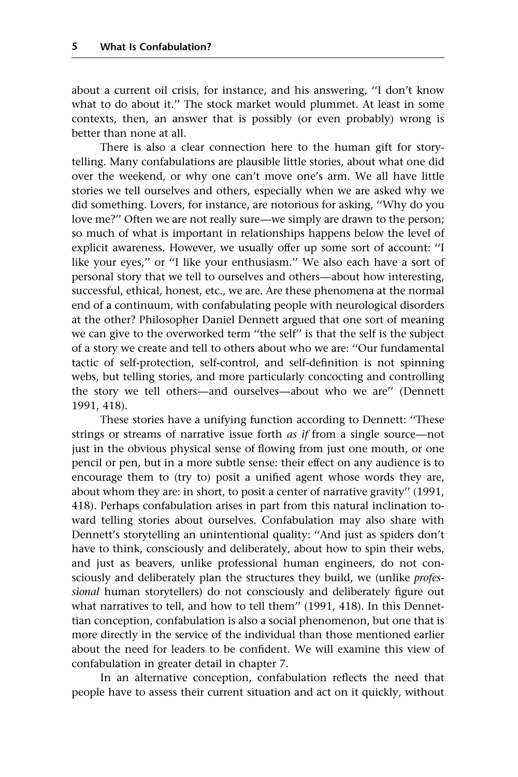about a current oil crisis, for instance, and his answering, ''I don't know what to do about it.'' The stock market would plummet. At least in some contexts, then, an answer that is possibly (or even probably) wrong is better than none at all.

There is also a clear connection here to the human gift for storytelling. Many confabulations are plausible little stories, about what one did over the weekend, or why one can't move one's arm. We all have little stories we tell ourselves and others, especially when we are asked why we did something. Lovers, for instance, are notorious for asking, ''Why do you love me?'' Often we are not really sure—we simply are drawn to the person; so much of what is important in relationships happens below the level of explicit awareness. However, we usually offer up some sort of account: ''I like your eyes,'' or ''I like your enthusiasm.'' We also each have a sort of personal story that we tell to ourselves and others—about how interesting, successful, ethical, honest, etc., we are. Are these phenomena at the normal end of a continuum, with confabulating people with neurological disorders at the other? Philosopher Daniel Dennett argued that one sort of meaning we can give to the overworked term ''the self'' is that the self is the subject of a story we create and tell to others about who we are: ''Our fundamental tactic of self-protection, self-control, and self-definition is not spinning webs, but telling stories, and more particularly concocting and controlling the story we tell others—and ourselves—about who we are'' (Dennett 1991, 418).

These stories have a unifying function according to Dennett: ''These strings or streams of narrative issue forth as if from a single source—not just in the obvious physical sense of flowing from just one mouth, or one pencil or pen, but in a more subtle sense: their effect on any audience is to encourage them to (try to) posit a unified agent whose words they are, about whom they are: in short, to posit a center of narrative gravity'' (1991, 418). Perhaps confabulation arises in part from this natural inclination toward telling stories about ourselves. Confabulation may also share with Dennett's storytelling an unintentional quality: ''And just as spiders don't have to think, consciously and deliberately, about how to spin their webs, and just as beavers, unlike professional human engineers, do not consciously and deliberately plan the structures they build, we (unlike professional human storytellers) do not consciously and deliberately figure out what narratives to tell, and how to tell them'' (1991, 418). In this Dennettian conception, confabulation is also a social phenomenon, but one that is more directly in the service of the individual than those mentioned earlier about the need for leaders to be confident. We will examine this view of confabulation in greater detail in chapter 7.

In an alternative conception, confabulation reflects the need that people have to assess their current situation and act on it quickly, without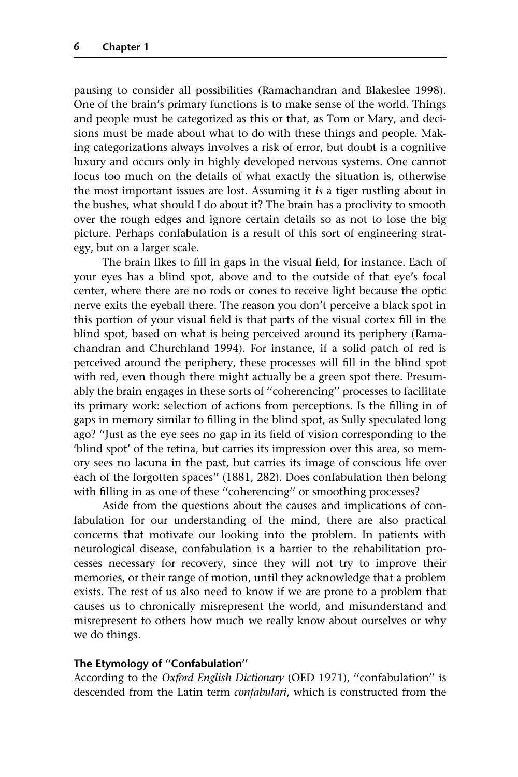pausing to consider all possibilities (Ramachandran and Blakeslee 1998). One of the brain's primary functions is to make sense of the world. Things and people must be categorized as this or that, as Tom or Mary, and decisions must be made about what to do with these things and people. Making categorizations always involves a risk of error, but doubt is a cognitive luxury and occurs only in highly developed nervous systems. One cannot focus too much on the details of what exactly the situation is, otherwise the most important issues are lost. Assuming it is a tiger rustling about in the bushes, what should I do about it? The brain has a proclivity to smooth over the rough edges and ignore certain details so as not to lose the big picture. Perhaps confabulation is a result of this sort of engineering strategy, but on a larger scale.

The brain likes to fill in gaps in the visual field, for instance. Each of your eyes has a blind spot, above and to the outside of that eye's focal center, where there are no rods or cones to receive light because the optic nerve exits the eyeball there. The reason you don't perceive a black spot in this portion of your visual field is that parts of the visual cortex fill in the blind spot, based on what is being perceived around its periphery (Ramachandran and Churchland 1994). For instance, if a solid patch of red is perceived around the periphery, these processes will fill in the blind spot with red, even though there might actually be a green spot there. Presumably the brain engages in these sorts of ''coherencing'' processes to facilitate its primary work: selection of actions from perceptions. Is the filling in of gaps in memory similar to filling in the blind spot, as Sully speculated long ago? ''Just as the eye sees no gap in its field of vision corresponding to the 'blind spot' of the retina, but carries its impression over this area, so memory sees no lacuna in the past, but carries its image of conscious life over each of the forgotten spaces'' (1881, 282). Does confabulation then belong with filling in as one of these "coherencing" or smoothing processes?

Aside from the questions about the causes and implications of confabulation for our understanding of the mind, there are also practical concerns that motivate our looking into the problem. In patients with neurological disease, confabulation is a barrier to the rehabilitation processes necessary for recovery, since they will not try to improve their memories, or their range of motion, until they acknowledge that a problem exists. The rest of us also need to know if we are prone to a problem that causes us to chronically misrepresent the world, and misunderstand and misrepresent to others how much we really know about ourselves or why we do things.

## The Etymology of ''Confabulation''

According to the Oxford English Dictionary (OED 1971), ''confabulation'' is descended from the Latin term confabulari, which is constructed from the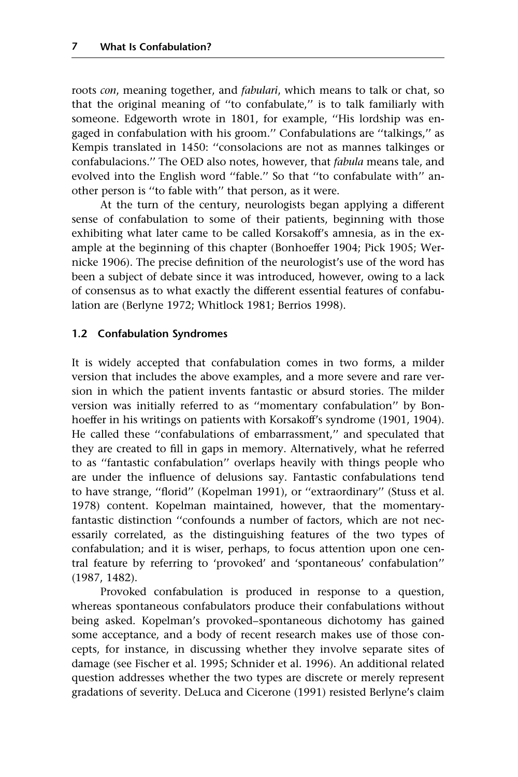roots con, meaning together, and fabulari, which means to talk or chat, so that the original meaning of ''to confabulate,'' is to talk familiarly with someone. Edgeworth wrote in 1801, for example, ''His lordship was engaged in confabulation with his groom.'' Confabulations are ''talkings,'' as Kempis translated in 1450: ''consolacions are not as mannes talkinges or confabulacions.'' The OED also notes, however, that fabula means tale, and evolved into the English word ''fable.'' So that ''to confabulate with'' another person is ''to fable with'' that person, as it were.

At the turn of the century, neurologists began applying a different sense of confabulation to some of their patients, beginning with those exhibiting what later came to be called Korsakoff's amnesia, as in the example at the beginning of this chapter (Bonhoeffer 1904; Pick 1905; Wernicke 1906). The precise definition of the neurologist's use of the word has been a subject of debate since it was introduced, however, owing to a lack of consensus as to what exactly the different essential features of confabulation are (Berlyne 1972; Whitlock 1981; Berrios 1998).

# 1.2 Confabulation Syndromes

It is widely accepted that confabulation comes in two forms, a milder version that includes the above examples, and a more severe and rare version in which the patient invents fantastic or absurd stories. The milder version was initially referred to as ''momentary confabulation'' by Bonhoeffer in his writings on patients with Korsakoff's syndrome (1901, 1904). He called these ''confabulations of embarrassment,'' and speculated that they are created to fill in gaps in memory. Alternatively, what he referred to as ''fantastic confabulation'' overlaps heavily with things people who are under the influence of delusions say. Fantastic confabulations tend to have strange, ''florid'' (Kopelman 1991), or ''extraordinary'' (Stuss et al. 1978) content. Kopelman maintained, however, that the momentaryfantastic distinction ''confounds a number of factors, which are not necessarily correlated, as the distinguishing features of the two types of confabulation; and it is wiser, perhaps, to focus attention upon one central feature by referring to 'provoked' and 'spontaneous' confabulation'' (1987, 1482).

Provoked confabulation is produced in response to a question, whereas spontaneous confabulators produce their confabulations without being asked. Kopelman's provoked–spontaneous dichotomy has gained some acceptance, and a body of recent research makes use of those concepts, for instance, in discussing whether they involve separate sites of damage (see Fischer et al. 1995; Schnider et al. 1996). An additional related question addresses whether the two types are discrete or merely represent gradations of severity. DeLuca and Cicerone (1991) resisted Berlyne's claim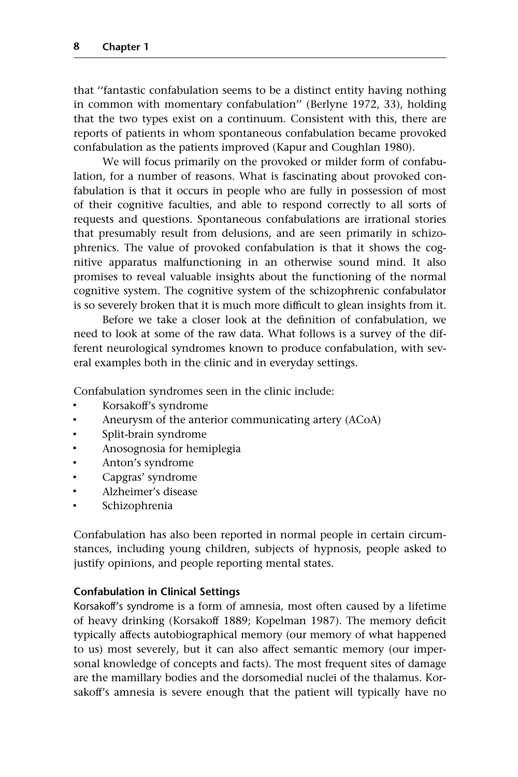that ''fantastic confabulation seems to be a distinct entity having nothing in common with momentary confabulation'' (Berlyne 1972, 33), holding that the two types exist on a continuum. Consistent with this, there are reports of patients in whom spontaneous confabulation became provoked confabulation as the patients improved (Kapur and Coughlan 1980).

We will focus primarily on the provoked or milder form of confabulation, for a number of reasons. What is fascinating about provoked confabulation is that it occurs in people who are fully in possession of most of their cognitive faculties, and able to respond correctly to all sorts of requests and questions. Spontaneous confabulations are irrational stories that presumably result from delusions, and are seen primarily in schizophrenics. The value of provoked confabulation is that it shows the cognitive apparatus malfunctioning in an otherwise sound mind. It also promises to reveal valuable insights about the functioning of the normal cognitive system. The cognitive system of the schizophrenic confabulator is so severely broken that it is much more difficult to glean insights from it.

Before we take a closer look at the definition of confabulation, we need to look at some of the raw data. What follows is a survey of the different neurological syndromes known to produce confabulation, with several examples both in the clinic and in everyday settings.

Confabulation syndromes seen in the clinic include:

- Korsakoff's syndrome
- Aneurysm of the anterior communicating artery (ACoA)
- Split-brain syndrome
- <sup>9</sup> Anosognosia for hemiplegia
- Anton's syndrome
- Capgras' syndrome
- <sup>9</sup> Alzheimer's disease
- Schizophrenia

Confabulation has also been reported in normal people in certain circumstances, including young children, subjects of hypnosis, people asked to justify opinions, and people reporting mental states.

## Confabulation in Clinical Settings

Korsakoff's syndrome is a form of amnesia, most often caused by a lifetime of heavy drinking (Korsakoff 1889; Kopelman 1987). The memory deficit typically affects autobiographical memory (our memory of what happened to us) most severely, but it can also affect semantic memory (our impersonal knowledge of concepts and facts). The most frequent sites of damage are the mamillary bodies and the dorsomedial nuclei of the thalamus. Korsakoff's amnesia is severe enough that the patient will typically have no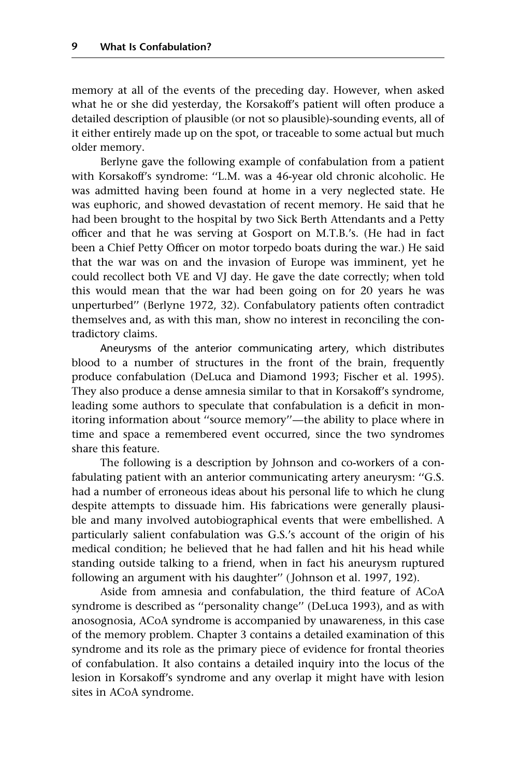memory at all of the events of the preceding day. However, when asked what he or she did yesterday, the Korsakoff's patient will often produce a detailed description of plausible (or not so plausible)-sounding events, all of it either entirely made up on the spot, or traceable to some actual but much older memory.

Berlyne gave the following example of confabulation from a patient with Korsakoff's syndrome: ''L.M. was a 46-year old chronic alcoholic. He was admitted having been found at home in a very neglected state. He was euphoric, and showed devastation of recent memory. He said that he had been brought to the hospital by two Sick Berth Attendants and a Petty officer and that he was serving at Gosport on M.T.B.'s. (He had in fact been a Chief Petty Officer on motor torpedo boats during the war.) He said that the war was on and the invasion of Europe was imminent, yet he could recollect both VE and VJ day. He gave the date correctly; when told this would mean that the war had been going on for 20 years he was unperturbed'' (Berlyne 1972, 32). Confabulatory patients often contradict themselves and, as with this man, show no interest in reconciling the contradictory claims.

Aneurysms of the anterior communicating artery, which distributes blood to a number of structures in the front of the brain, frequently produce confabulation (DeLuca and Diamond 1993; Fischer et al. 1995). They also produce a dense amnesia similar to that in Korsakoff's syndrome, leading some authors to speculate that confabulation is a deficit in monitoring information about ''source memory''—the ability to place where in time and space a remembered event occurred, since the two syndromes share this feature.

The following is a description by Johnson and co-workers of a confabulating patient with an anterior communicating artery aneurysm: ''G.S. had a number of erroneous ideas about his personal life to which he clung despite attempts to dissuade him. His fabrications were generally plausible and many involved autobiographical events that were embellished. A particularly salient confabulation was G.S.'s account of the origin of his medical condition; he believed that he had fallen and hit his head while standing outside talking to a friend, when in fact his aneurysm ruptured following an argument with his daughter'' ( Johnson et al. 1997, 192).

Aside from amnesia and confabulation, the third feature of ACoA syndrome is described as ''personality change'' (DeLuca 1993), and as with anosognosia, ACoA syndrome is accompanied by unawareness, in this case of the memory problem. Chapter 3 contains a detailed examination of this syndrome and its role as the primary piece of evidence for frontal theories of confabulation. It also contains a detailed inquiry into the locus of the lesion in Korsakoff's syndrome and any overlap it might have with lesion sites in ACoA syndrome.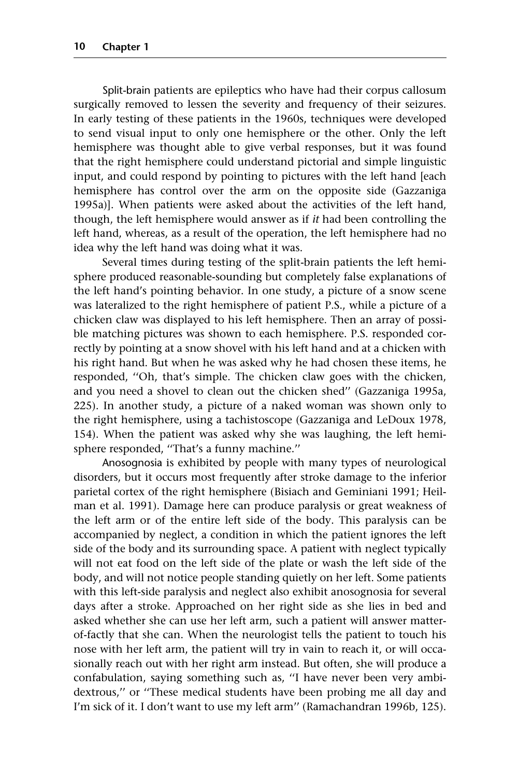Split-brain patients are epileptics who have had their corpus callosum surgically removed to lessen the severity and frequency of their seizures. In early testing of these patients in the 1960s, techniques were developed to send visual input to only one hemisphere or the other. Only the left hemisphere was thought able to give verbal responses, but it was found that the right hemisphere could understand pictorial and simple linguistic input, and could respond by pointing to pictures with the left hand [each hemisphere has control over the arm on the opposite side (Gazzaniga 1995a)]. When patients were asked about the activities of the left hand, though, the left hemisphere would answer as if it had been controlling the left hand, whereas, as a result of the operation, the left hemisphere had no idea why the left hand was doing what it was.

Several times during testing of the split-brain patients the left hemisphere produced reasonable-sounding but completely false explanations of the left hand's pointing behavior. In one study, a picture of a snow scene was lateralized to the right hemisphere of patient P.S., while a picture of a chicken claw was displayed to his left hemisphere. Then an array of possible matching pictures was shown to each hemisphere. P.S. responded correctly by pointing at a snow shovel with his left hand and at a chicken with his right hand. But when he was asked why he had chosen these items, he responded, ''Oh, that's simple. The chicken claw goes with the chicken, and you need a shovel to clean out the chicken shed'' (Gazzaniga 1995a, 225). In another study, a picture of a naked woman was shown only to the right hemisphere, using a tachistoscope (Gazzaniga and LeDoux 1978, 154). When the patient was asked why she was laughing, the left hemisphere responded, ''That's a funny machine.''

Anosognosia is exhibited by people with many types of neurological disorders, but it occurs most frequently after stroke damage to the inferior parietal cortex of the right hemisphere (Bisiach and Geminiani 1991; Heilman et al. 1991). Damage here can produce paralysis or great weakness of the left arm or of the entire left side of the body. This paralysis can be accompanied by neglect, a condition in which the patient ignores the left side of the body and its surrounding space. A patient with neglect typically will not eat food on the left side of the plate or wash the left side of the body, and will not notice people standing quietly on her left. Some patients with this left-side paralysis and neglect also exhibit anosognosia for several days after a stroke. Approached on her right side as she lies in bed and asked whether she can use her left arm, such a patient will answer matterof-factly that she can. When the neurologist tells the patient to touch his nose with her left arm, the patient will try in vain to reach it, or will occasionally reach out with her right arm instead. But often, she will produce a confabulation, saying something such as, ''I have never been very ambidextrous,'' or ''These medical students have been probing me all day and I'm sick of it. I don't want to use my left arm'' (Ramachandran 1996b, 125).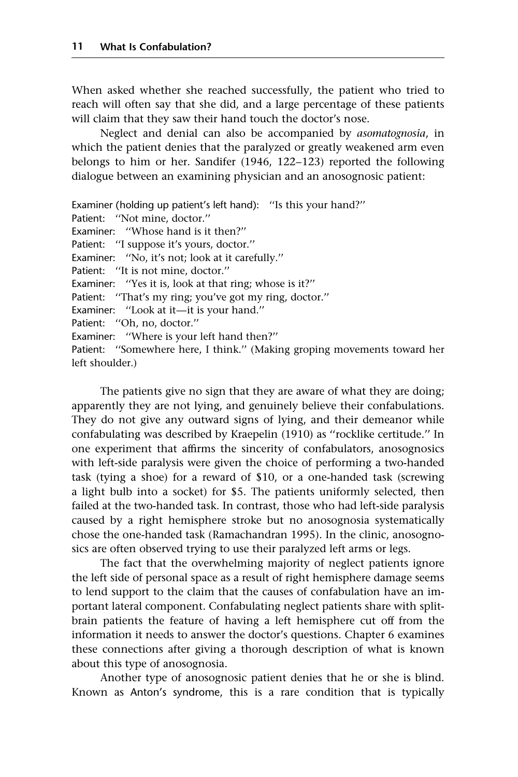When asked whether she reached successfully, the patient who tried to reach will often say that she did, and a large percentage of these patients will claim that they saw their hand touch the doctor's nose.

Neglect and denial can also be accompanied by asomatognosia, in which the patient denies that the paralyzed or greatly weakened arm even belongs to him or her. Sandifer (1946, 122–123) reported the following dialogue between an examining physician and an anosognosic patient:

```
Examiner (holding up patient's left hand): "Is this your hand?"
```
Patient: "Not mine, doctor."

Examiner: ''Whose hand is it then?''

Patient: "I suppose it's yours, doctor."

Examiner: ''No, it's not; look at it carefully.''

Patient: "It is not mine, doctor."

Examiner: "Yes it is, look at that ring; whose is it?"

Patient: ''That's my ring; you've got my ring, doctor.''

Examiner: ''Look at it—it is your hand.''

Patient: "Oh, no, doctor."

Examiner: ''Where is your left hand then?''

Patient: ''Somewhere here, I think.'' (Making groping movements toward her left shoulder.)

The patients give no sign that they are aware of what they are doing; apparently they are not lying, and genuinely believe their confabulations. They do not give any outward signs of lying, and their demeanor while confabulating was described by Kraepelin (1910) as ''rocklike certitude.'' In one experiment that affirms the sincerity of confabulators, anosognosics with left-side paralysis were given the choice of performing a two-handed task (tying a shoe) for a reward of \$10, or a one-handed task (screwing a light bulb into a socket) for \$5. The patients uniformly selected, then failed at the two-handed task. In contrast, those who had left-side paralysis caused by a right hemisphere stroke but no anosognosia systematically chose the one-handed task (Ramachandran 1995). In the clinic, anosognosics are often observed trying to use their paralyzed left arms or legs.

The fact that the overwhelming majority of neglect patients ignore the left side of personal space as a result of right hemisphere damage seems to lend support to the claim that the causes of confabulation have an important lateral component. Confabulating neglect patients share with splitbrain patients the feature of having a left hemisphere cut off from the information it needs to answer the doctor's questions. Chapter 6 examines these connections after giving a thorough description of what is known about this type of anosognosia.

Another type of anosognosic patient denies that he or she is blind. Known as Anton's syndrome, this is a rare condition that is typically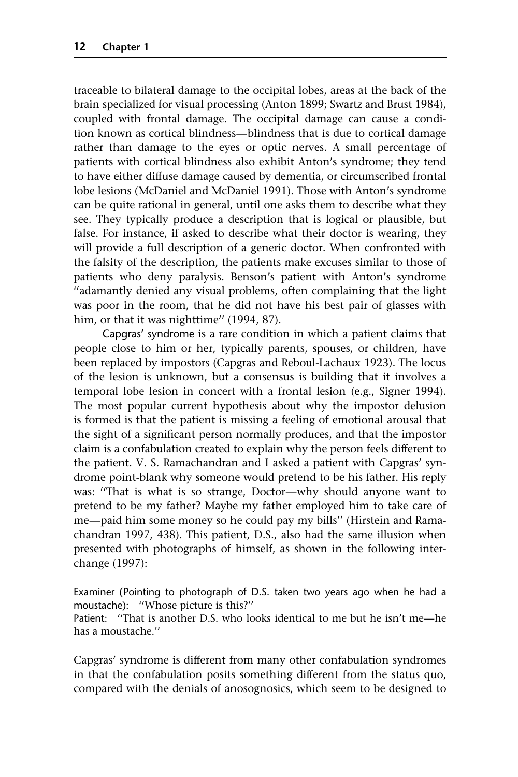traceable to bilateral damage to the occipital lobes, areas at the back of the brain specialized for visual processing (Anton 1899; Swartz and Brust 1984), coupled with frontal damage. The occipital damage can cause a condition known as cortical blindness—blindness that is due to cortical damage rather than damage to the eyes or optic nerves. A small percentage of patients with cortical blindness also exhibit Anton's syndrome; they tend to have either diffuse damage caused by dementia, or circumscribed frontal lobe lesions (McDaniel and McDaniel 1991). Those with Anton's syndrome can be quite rational in general, until one asks them to describe what they see. They typically produce a description that is logical or plausible, but false. For instance, if asked to describe what their doctor is wearing, they will provide a full description of a generic doctor. When confronted with the falsity of the description, the patients make excuses similar to those of patients who deny paralysis. Benson's patient with Anton's syndrome ''adamantly denied any visual problems, often complaining that the light was poor in the room, that he did not have his best pair of glasses with him, or that it was nighttime" (1994, 87).

Capgras' syndrome is a rare condition in which a patient claims that people close to him or her, typically parents, spouses, or children, have been replaced by impostors (Capgras and Reboul-Lachaux 1923). The locus of the lesion is unknown, but a consensus is building that it involves a temporal lobe lesion in concert with a frontal lesion (e.g., Signer 1994). The most popular current hypothesis about why the impostor delusion is formed is that the patient is missing a feeling of emotional arousal that the sight of a significant person normally produces, and that the impostor claim is a confabulation created to explain why the person feels different to the patient. V. S. Ramachandran and I asked a patient with Capgras' syndrome point-blank why someone would pretend to be his father. His reply was: ''That is what is so strange, Doctor—why should anyone want to pretend to be my father? Maybe my father employed him to take care of me—paid him some money so he could pay my bills'' (Hirstein and Ramachandran 1997, 438). This patient, D.S., also had the same illusion when presented with photographs of himself, as shown in the following interchange (1997):

Examiner (Pointing to photograph of D.S. taken two years ago when he had a moustache): ''Whose picture is this?''

Patient: ''That is another D.S. who looks identical to me but he isn't me—he has a moustache.''

Capgras' syndrome is different from many other confabulation syndromes in that the confabulation posits something different from the status quo, compared with the denials of anosognosics, which seem to be designed to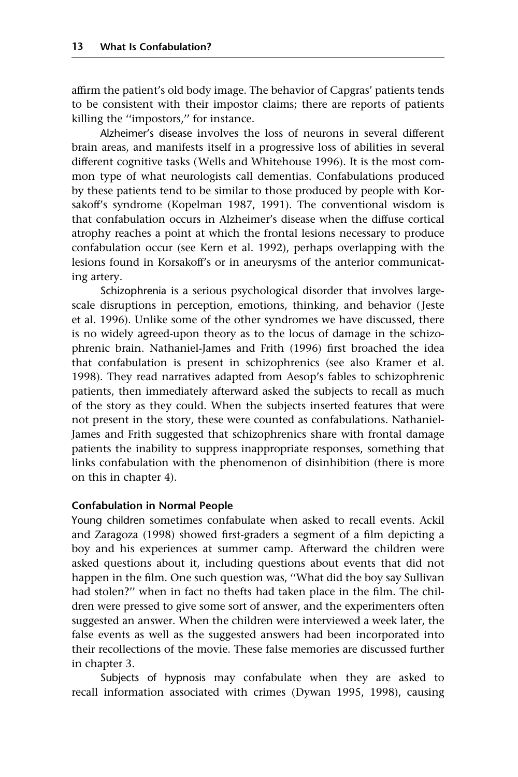affirm the patient's old body image. The behavior of Capgras' patients tends to be consistent with their impostor claims; there are reports of patients killing the ''impostors,'' for instance.

Alzheimer's disease involves the loss of neurons in several different brain areas, and manifests itself in a progressive loss of abilities in several different cognitive tasks (Wells and Whitehouse 1996). It is the most common type of what neurologists call dementias. Confabulations produced by these patients tend to be similar to those produced by people with Korsakoff's syndrome (Kopelman 1987, 1991). The conventional wisdom is that confabulation occurs in Alzheimer's disease when the diffuse cortical atrophy reaches a point at which the frontal lesions necessary to produce confabulation occur (see Kern et al. 1992), perhaps overlapping with the lesions found in Korsakoff's or in aneurysms of the anterior communicating artery.

Schizophrenia is a serious psychological disorder that involves largescale disruptions in perception, emotions, thinking, and behavior ( Jeste et al. 1996). Unlike some of the other syndromes we have discussed, there is no widely agreed-upon theory as to the locus of damage in the schizophrenic brain. Nathaniel-James and Frith (1996) first broached the idea that confabulation is present in schizophrenics (see also Kramer et al. 1998). They read narratives adapted from Aesop's fables to schizophrenic patients, then immediately afterward asked the subjects to recall as much of the story as they could. When the subjects inserted features that were not present in the story, these were counted as confabulations. Nathaniel-James and Frith suggested that schizophrenics share with frontal damage patients the inability to suppress inappropriate responses, something that links confabulation with the phenomenon of disinhibition (there is more on this in chapter 4).

#### Confabulation in Normal People

Young children sometimes confabulate when asked to recall events. Ackil and Zaragoza (1998) showed first-graders a segment of a film depicting a boy and his experiences at summer camp. Afterward the children were asked questions about it, including questions about events that did not happen in the film. One such question was, ''What did the boy say Sullivan had stolen?'' when in fact no thefts had taken place in the film. The children were pressed to give some sort of answer, and the experimenters often suggested an answer. When the children were interviewed a week later, the false events as well as the suggested answers had been incorporated into their recollections of the movie. These false memories are discussed further in chapter 3.

Subjects of hypnosis may confabulate when they are asked to recall information associated with crimes (Dywan 1995, 1998), causing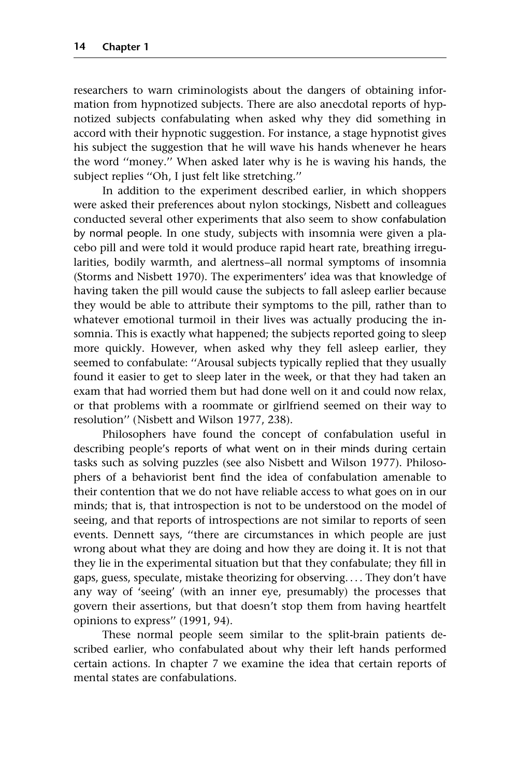researchers to warn criminologists about the dangers of obtaining information from hypnotized subjects. There are also anecdotal reports of hypnotized subjects confabulating when asked why they did something in accord with their hypnotic suggestion. For instance, a stage hypnotist gives his subject the suggestion that he will wave his hands whenever he hears the word ''money.'' When asked later why is he is waving his hands, the subject replies ''Oh, I just felt like stretching.''

In addition to the experiment described earlier, in which shoppers were asked their preferences about nylon stockings, Nisbett and colleagues conducted several other experiments that also seem to show confabulation by normal people. In one study, subjects with insomnia were given a placebo pill and were told it would produce rapid heart rate, breathing irregularities, bodily warmth, and alertness–all normal symptoms of insomnia (Storms and Nisbett 1970). The experimenters' idea was that knowledge of having taken the pill would cause the subjects to fall asleep earlier because they would be able to attribute their symptoms to the pill, rather than to whatever emotional turmoil in their lives was actually producing the insomnia. This is exactly what happened; the subjects reported going to sleep more quickly. However, when asked why they fell asleep earlier, they seemed to confabulate: ''Arousal subjects typically replied that they usually found it easier to get to sleep later in the week, or that they had taken an exam that had worried them but had done well on it and could now relax, or that problems with a roommate or girlfriend seemed on their way to resolution'' (Nisbett and Wilson 1977, 238).

Philosophers have found the concept of confabulation useful in describing people's reports of what went on in their minds during certain tasks such as solving puzzles (see also Nisbett and Wilson 1977). Philosophers of a behaviorist bent find the idea of confabulation amenable to their contention that we do not have reliable access to what goes on in our minds; that is, that introspection is not to be understood on the model of seeing, and that reports of introspections are not similar to reports of seen events. Dennett says, ''there are circumstances in which people are just wrong about what they are doing and how they are doing it. It is not that they lie in the experimental situation but that they confabulate; they fill in gaps, guess, speculate, mistake theorizing for observing. . . . They don't have any way of 'seeing' (with an inner eye, presumably) the processes that govern their assertions, but that doesn't stop them from having heartfelt opinions to express'' (1991, 94).

These normal people seem similar to the split-brain patients described earlier, who confabulated about why their left hands performed certain actions. In chapter 7 we examine the idea that certain reports of mental states are confabulations.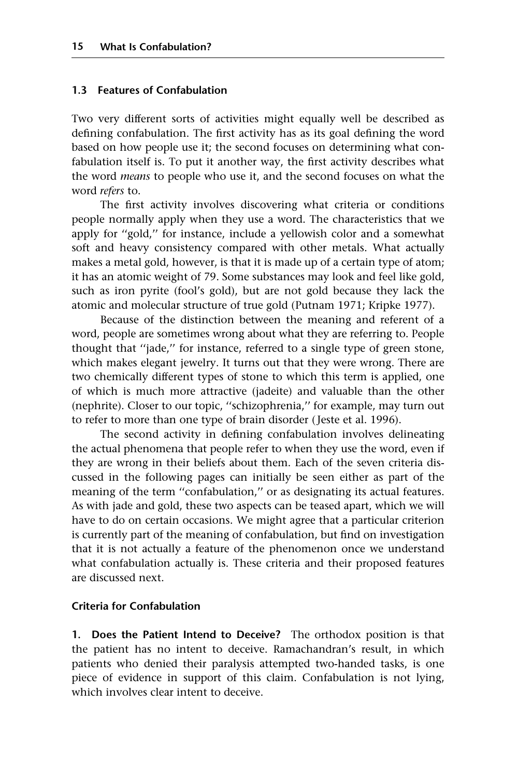#### 1.3 Features of Confabulation

Two very different sorts of activities might equally well be described as defining confabulation. The first activity has as its goal defining the word based on how people use it; the second focuses on determining what confabulation itself is. To put it another way, the first activity describes what the word means to people who use it, and the second focuses on what the word refers to.

The first activity involves discovering what criteria or conditions people normally apply when they use a word. The characteristics that we apply for ''gold,'' for instance, include a yellowish color and a somewhat soft and heavy consistency compared with other metals. What actually makes a metal gold, however, is that it is made up of a certain type of atom; it has an atomic weight of 79. Some substances may look and feel like gold, such as iron pyrite (fool's gold), but are not gold because they lack the atomic and molecular structure of true gold (Putnam 1971; Kripke 1977).

Because of the distinction between the meaning and referent of a word, people are sometimes wrong about what they are referring to. People thought that ''jade,'' for instance, referred to a single type of green stone, which makes elegant jewelry. It turns out that they were wrong. There are two chemically different types of stone to which this term is applied, one of which is much more attractive (jadeite) and valuable than the other (nephrite). Closer to our topic, ''schizophrenia,'' for example, may turn out to refer to more than one type of brain disorder ( Jeste et al. 1996).

The second activity in defining confabulation involves delineating the actual phenomena that people refer to when they use the word, even if they are wrong in their beliefs about them. Each of the seven criteria discussed in the following pages can initially be seen either as part of the meaning of the term "confabulation," or as designating its actual features. As with jade and gold, these two aspects can be teased apart, which we will have to do on certain occasions. We might agree that a particular criterion is currently part of the meaning of confabulation, but find on investigation that it is not actually a feature of the phenomenon once we understand what confabulation actually is. These criteria and their proposed features are discussed next.

## Criteria for Confabulation

1. Does the Patient Intend to Deceive? The orthodox position is that the patient has no intent to deceive. Ramachandran's result, in which patients who denied their paralysis attempted two-handed tasks, is one piece of evidence in support of this claim. Confabulation is not lying, which involves clear intent to deceive.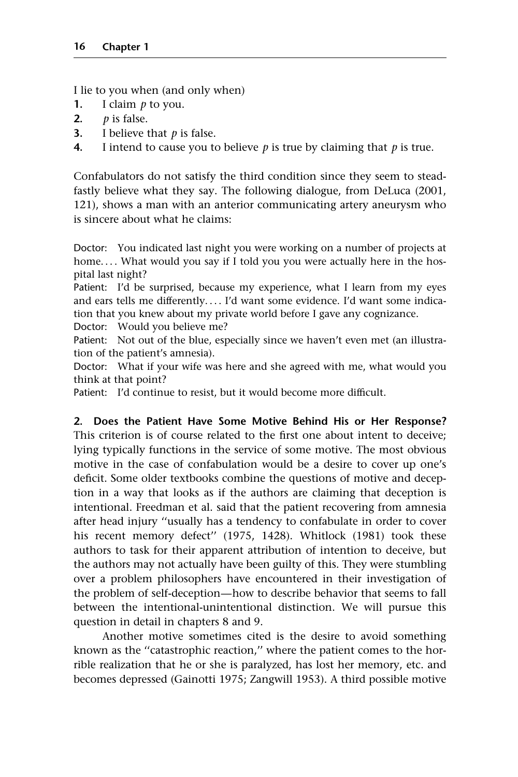I lie to you when (and only when)

- 1. I claim  $p$  to you.
- 2.  $p$  is false.
- 3. I believe that  $p$  is false.
- 4. I intend to cause you to believe  $p$  is true by claiming that  $p$  is true.

Confabulators do not satisfy the third condition since they seem to steadfastly believe what they say. The following dialogue, from DeLuca (2001, 121), shows a man with an anterior communicating artery aneurysm who is sincere about what he claims:

Doctor: You indicated last night you were working on a number of projects at home.... What would you say if I told you you were actually here in the hospital last night?

Patient: I'd be surprised, because my experience, what I learn from my eyes and ears tells me differently.... I'd want some evidence. I'd want some indication that you knew about my private world before I gave any cognizance.

Doctor: Would you believe me?

Patient: Not out of the blue, especially since we haven't even met (an illustration of the patient's amnesia).

Doctor: What if your wife was here and she agreed with me, what would you think at that point?

Patient: I'd continue to resist, but it would become more difficult.

2. Does the Patient Have Some Motive Behind His or Her Response? This criterion is of course related to the first one about intent to deceive; lying typically functions in the service of some motive. The most obvious motive in the case of confabulation would be a desire to cover up one's deficit. Some older textbooks combine the questions of motive and deception in a way that looks as if the authors are claiming that deception is intentional. Freedman et al. said that the patient recovering from amnesia after head injury ''usually has a tendency to confabulate in order to cover his recent memory defect'' (1975, 1428). Whitlock (1981) took these authors to task for their apparent attribution of intention to deceive, but the authors may not actually have been guilty of this. They were stumbling over a problem philosophers have encountered in their investigation of the problem of self-deception—how to describe behavior that seems to fall between the intentional-unintentional distinction. We will pursue this question in detail in chapters 8 and 9.

Another motive sometimes cited is the desire to avoid something known as the ''catastrophic reaction,'' where the patient comes to the horrible realization that he or she is paralyzed, has lost her memory, etc. and becomes depressed (Gainotti 1975; Zangwill 1953). A third possible motive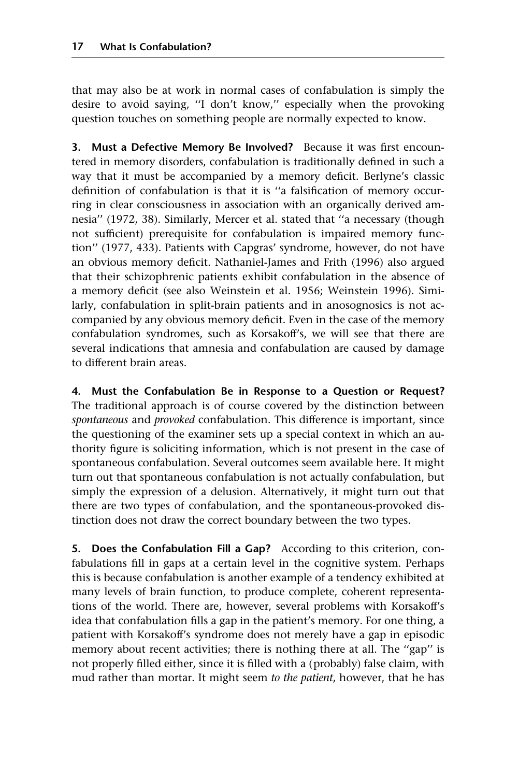that may also be at work in normal cases of confabulation is simply the desire to avoid saying, ''I don't know,'' especially when the provoking question touches on something people are normally expected to know.

3. Must a Defective Memory Be Involved? Because it was first encountered in memory disorders, confabulation is traditionally defined in such a way that it must be accompanied by a memory deficit. Berlyne's classic definition of confabulation is that it is ''a falsification of memory occurring in clear consciousness in association with an organically derived amnesia'' (1972, 38). Similarly, Mercer et al. stated that ''a necessary (though not sufficient) prerequisite for confabulation is impaired memory function'' (1977, 433). Patients with Capgras' syndrome, however, do not have an obvious memory deficit. Nathaniel-James and Frith (1996) also argued that their schizophrenic patients exhibit confabulation in the absence of a memory deficit (see also Weinstein et al. 1956; Weinstein 1996). Similarly, confabulation in split-brain patients and in anosognosics is not accompanied by any obvious memory deficit. Even in the case of the memory confabulation syndromes, such as Korsakoff's, we will see that there are several indications that amnesia and confabulation are caused by damage to different brain areas.

4. Must the Confabulation Be in Response to a Question or Request? The traditional approach is of course covered by the distinction between spontaneous and provoked confabulation. This difference is important, since the questioning of the examiner sets up a special context in which an authority figure is soliciting information, which is not present in the case of spontaneous confabulation. Several outcomes seem available here. It might turn out that spontaneous confabulation is not actually confabulation, but simply the expression of a delusion. Alternatively, it might turn out that there are two types of confabulation, and the spontaneous-provoked distinction does not draw the correct boundary between the two types.

5. Does the Confabulation Fill a Gap? According to this criterion, confabulations fill in gaps at a certain level in the cognitive system. Perhaps this is because confabulation is another example of a tendency exhibited at many levels of brain function, to produce complete, coherent representations of the world. There are, however, several problems with Korsakoff's idea that confabulation fills a gap in the patient's memory. For one thing, a patient with Korsakoff's syndrome does not merely have a gap in episodic memory about recent activities; there is nothing there at all. The "gap" is not properly filled either, since it is filled with a (probably) false claim, with mud rather than mortar. It might seem to the patient, however, that he has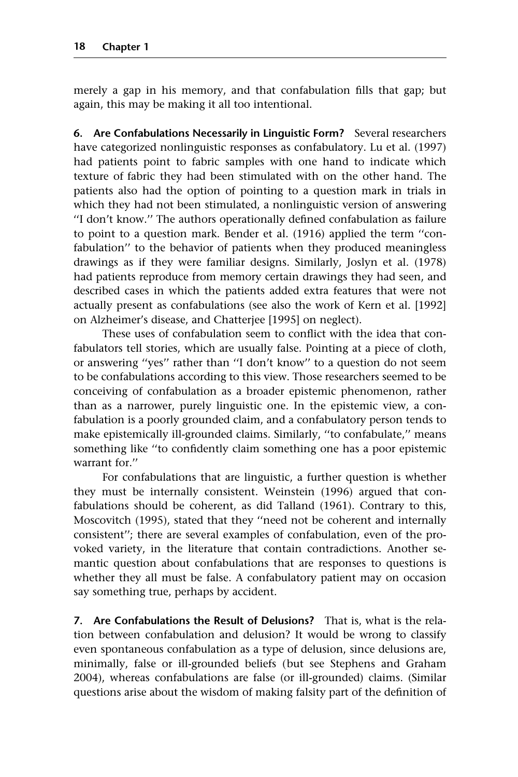merely a gap in his memory, and that confabulation fills that gap; but again, this may be making it all too intentional.

6. Are Confabulations Necessarily in Linguistic Form? Several researchers have categorized nonlinguistic responses as confabulatory. Lu et al. (1997) had patients point to fabric samples with one hand to indicate which texture of fabric they had been stimulated with on the other hand. The patients also had the option of pointing to a question mark in trials in which they had not been stimulated, a nonlinguistic version of answering ''I don't know.'' The authors operationally defined confabulation as failure to point to a question mark. Bender et al. (1916) applied the term ''confabulation'' to the behavior of patients when they produced meaningless drawings as if they were familiar designs. Similarly, Joslyn et al. (1978) had patients reproduce from memory certain drawings they had seen, and described cases in which the patients added extra features that were not actually present as confabulations (see also the work of Kern et al. [1992] on Alzheimer's disease, and Chatterjee [1995] on neglect).

These uses of confabulation seem to conflict with the idea that confabulators tell stories, which are usually false. Pointing at a piece of cloth, or answering ''yes'' rather than ''I don't know'' to a question do not seem to be confabulations according to this view. Those researchers seemed to be conceiving of confabulation as a broader epistemic phenomenon, rather than as a narrower, purely linguistic one. In the epistemic view, a confabulation is a poorly grounded claim, and a confabulatory person tends to make epistemically ill-grounded claims. Similarly, ''to confabulate,'' means something like ''to confidently claim something one has a poor epistemic warrant for.''

For confabulations that are linguistic, a further question is whether they must be internally consistent. Weinstein (1996) argued that confabulations should be coherent, as did Talland (1961). Contrary to this, Moscovitch (1995), stated that they ''need not be coherent and internally consistent''; there are several examples of confabulation, even of the provoked variety, in the literature that contain contradictions. Another semantic question about confabulations that are responses to questions is whether they all must be false. A confabulatory patient may on occasion say something true, perhaps by accident.

7. Are Confabulations the Result of Delusions? That is, what is the relation between confabulation and delusion? It would be wrong to classify even spontaneous confabulation as a type of delusion, since delusions are, minimally, false or ill-grounded beliefs (but see Stephens and Graham 2004), whereas confabulations are false (or ill-grounded) claims. (Similar questions arise about the wisdom of making falsity part of the definition of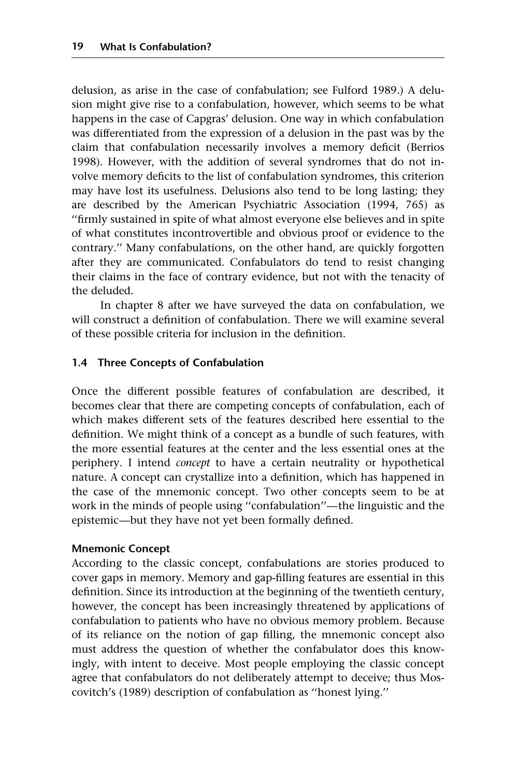delusion, as arise in the case of confabulation; see Fulford 1989.) A delusion might give rise to a confabulation, however, which seems to be what happens in the case of Capgras' delusion. One way in which confabulation was differentiated from the expression of a delusion in the past was by the claim that confabulation necessarily involves a memory deficit (Berrios 1998). However, with the addition of several syndromes that do not involve memory deficits to the list of confabulation syndromes, this criterion may have lost its usefulness. Delusions also tend to be long lasting; they are described by the American Psychiatric Association (1994, 765) as ''firmly sustained in spite of what almost everyone else believes and in spite of what constitutes incontrovertible and obvious proof or evidence to the contrary.'' Many confabulations, on the other hand, are quickly forgotten after they are communicated. Confabulators do tend to resist changing their claims in the face of contrary evidence, but not with the tenacity of the deluded.

In chapter 8 after we have surveyed the data on confabulation, we will construct a definition of confabulation. There we will examine several of these possible criteria for inclusion in the definition.

## 1.4 Three Concepts of Confabulation

Once the different possible features of confabulation are described, it becomes clear that there are competing concepts of confabulation, each of which makes different sets of the features described here essential to the definition. We might think of a concept as a bundle of such features, with the more essential features at the center and the less essential ones at the periphery. I intend concept to have a certain neutrality or hypothetical nature. A concept can crystallize into a definition, which has happened in the case of the mnemonic concept. Two other concepts seem to be at work in the minds of people using ''confabulation''—the linguistic and the epistemic—but they have not yet been formally defined.

#### Mnemonic Concept

According to the classic concept, confabulations are stories produced to cover gaps in memory. Memory and gap-filling features are essential in this definition. Since its introduction at the beginning of the twentieth century, however, the concept has been increasingly threatened by applications of confabulation to patients who have no obvious memory problem. Because of its reliance on the notion of gap filling, the mnemonic concept also must address the question of whether the confabulator does this knowingly, with intent to deceive. Most people employing the classic concept agree that confabulators do not deliberately attempt to deceive; thus Moscovitch's (1989) description of confabulation as ''honest lying.''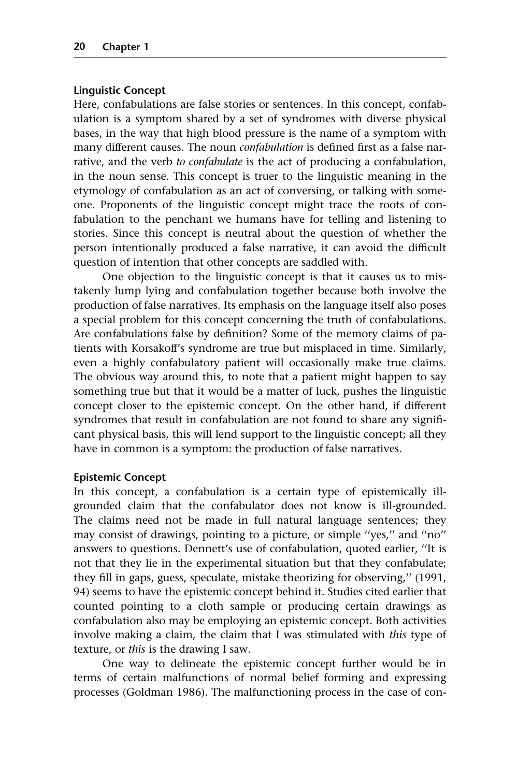## Linguistic Concept

Here, confabulations are false stories or sentences. In this concept, confabulation is a symptom shared by a set of syndromes with diverse physical bases, in the way that high blood pressure is the name of a symptom with many different causes. The noun *confabulation* is defined first as a false narrative, and the verb to confabulate is the act of producing a confabulation, in the noun sense. This concept is truer to the linguistic meaning in the etymology of confabulation as an act of conversing, or talking with someone. Proponents of the linguistic concept might trace the roots of confabulation to the penchant we humans have for telling and listening to stories. Since this concept is neutral about the question of whether the person intentionally produced a false narrative, it can avoid the difficult question of intention that other concepts are saddled with.

One objection to the linguistic concept is that it causes us to mistakenly lump lying and confabulation together because both involve the production of false narratives. Its emphasis on the language itself also poses a special problem for this concept concerning the truth of confabulations. Are confabulations false by definition? Some of the memory claims of patients with Korsakoff's syndrome are true but misplaced in time. Similarly, even a highly confabulatory patient will occasionally make true claims. The obvious way around this, to note that a patient might happen to say something true but that it would be a matter of luck, pushes the linguistic concept closer to the epistemic concept. On the other hand, if different syndromes that result in confabulation are not found to share any significant physical basis, this will lend support to the linguistic concept; all they have in common is a symptom: the production of false narratives.

## Epistemic Concept

In this concept, a confabulation is a certain type of epistemically illgrounded claim that the confabulator does not know is ill-grounded. The claims need not be made in full natural language sentences; they may consist of drawings, pointing to a picture, or simple ''yes,'' and ''no'' answers to questions. Dennett's use of confabulation, quoted earlier, ''It is not that they lie in the experimental situation but that they confabulate; they fill in gaps, guess, speculate, mistake theorizing for observing,'' (1991, 94) seems to have the epistemic concept behind it. Studies cited earlier that counted pointing to a cloth sample or producing certain drawings as confabulation also may be employing an epistemic concept. Both activities involve making a claim, the claim that I was stimulated with this type of texture, or this is the drawing I saw.

One way to delineate the epistemic concept further would be in terms of certain malfunctions of normal belief forming and expressing processes (Goldman 1986). The malfunctioning process in the case of con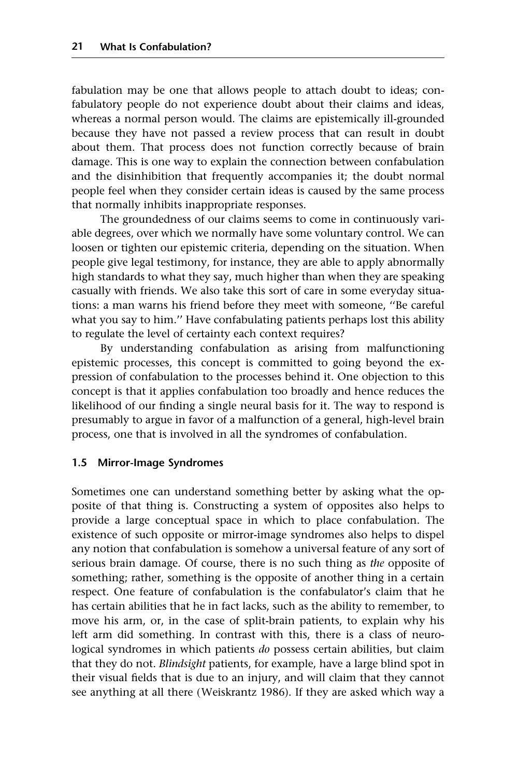fabulation may be one that allows people to attach doubt to ideas; confabulatory people do not experience doubt about their claims and ideas, whereas a normal person would. The claims are epistemically ill-grounded because they have not passed a review process that can result in doubt about them. That process does not function correctly because of brain damage. This is one way to explain the connection between confabulation and the disinhibition that frequently accompanies it; the doubt normal people feel when they consider certain ideas is caused by the same process that normally inhibits inappropriate responses.

The groundedness of our claims seems to come in continuously variable degrees, over which we normally have some voluntary control. We can loosen or tighten our epistemic criteria, depending on the situation. When people give legal testimony, for instance, they are able to apply abnormally high standards to what they say, much higher than when they are speaking casually with friends. We also take this sort of care in some everyday situations: a man warns his friend before they meet with someone, ''Be careful what you say to him.'' Have confabulating patients perhaps lost this ability to regulate the level of certainty each context requires?

By understanding confabulation as arising from malfunctioning epistemic processes, this concept is committed to going beyond the expression of confabulation to the processes behind it. One objection to this concept is that it applies confabulation too broadly and hence reduces the likelihood of our finding a single neural basis for it. The way to respond is presumably to argue in favor of a malfunction of a general, high-level brain process, one that is involved in all the syndromes of confabulation.

# 1.5 Mirror-Image Syndromes

Sometimes one can understand something better by asking what the opposite of that thing is. Constructing a system of opposites also helps to provide a large conceptual space in which to place confabulation. The existence of such opposite or mirror-image syndromes also helps to dispel any notion that confabulation is somehow a universal feature of any sort of serious brain damage. Of course, there is no such thing as the opposite of something; rather, something is the opposite of another thing in a certain respect. One feature of confabulation is the confabulator's claim that he has certain abilities that he in fact lacks, such as the ability to remember, to move his arm, or, in the case of split-brain patients, to explain why his left arm did something. In contrast with this, there is a class of neurological syndromes in which patients do possess certain abilities, but claim that they do not. Blindsight patients, for example, have a large blind spot in their visual fields that is due to an injury, and will claim that they cannot see anything at all there (Weiskrantz 1986). If they are asked which way a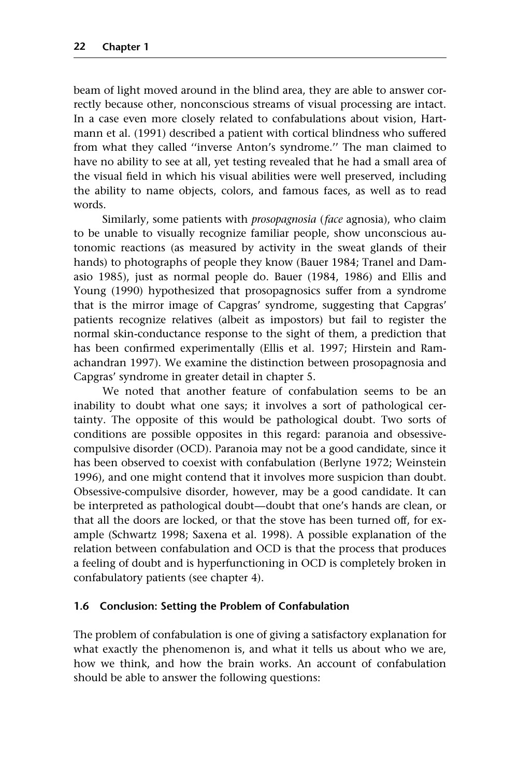beam of light moved around in the blind area, they are able to answer correctly because other, nonconscious streams of visual processing are intact. In a case even more closely related to confabulations about vision, Hartmann et al. (1991) described a patient with cortical blindness who suffered from what they called ''inverse Anton's syndrome.'' The man claimed to have no ability to see at all, yet testing revealed that he had a small area of the visual field in which his visual abilities were well preserved, including the ability to name objects, colors, and famous faces, as well as to read words.

Similarly, some patients with prosopagnosia (face agnosia), who claim to be unable to visually recognize familiar people, show unconscious autonomic reactions (as measured by activity in the sweat glands of their hands) to photographs of people they know (Bauer 1984; Tranel and Damasio 1985), just as normal people do. Bauer (1984, 1986) and Ellis and Young (1990) hypothesized that prosopagnosics suffer from a syndrome that is the mirror image of Capgras' syndrome, suggesting that Capgras' patients recognize relatives (albeit as impostors) but fail to register the normal skin-conductance response to the sight of them, a prediction that has been confirmed experimentally (Ellis et al. 1997; Hirstein and Ramachandran 1997). We examine the distinction between prosopagnosia and Capgras' syndrome in greater detail in chapter 5.

We noted that another feature of confabulation seems to be an inability to doubt what one says; it involves a sort of pathological certainty. The opposite of this would be pathological doubt. Two sorts of conditions are possible opposites in this regard: paranoia and obsessivecompulsive disorder (OCD). Paranoia may not be a good candidate, since it has been observed to coexist with confabulation (Berlyne 1972; Weinstein 1996), and one might contend that it involves more suspicion than doubt. Obsessive-compulsive disorder, however, may be a good candidate. It can be interpreted as pathological doubt—doubt that one's hands are clean, or that all the doors are locked, or that the stove has been turned off, for example (Schwartz 1998; Saxena et al. 1998). A possible explanation of the relation between confabulation and OCD is that the process that produces a feeling of doubt and is hyperfunctioning in OCD is completely broken in confabulatory patients (see chapter 4).

## 1.6 Conclusion: Setting the Problem of Confabulation

The problem of confabulation is one of giving a satisfactory explanation for what exactly the phenomenon is, and what it tells us about who we are, how we think, and how the brain works. An account of confabulation should be able to answer the following questions: